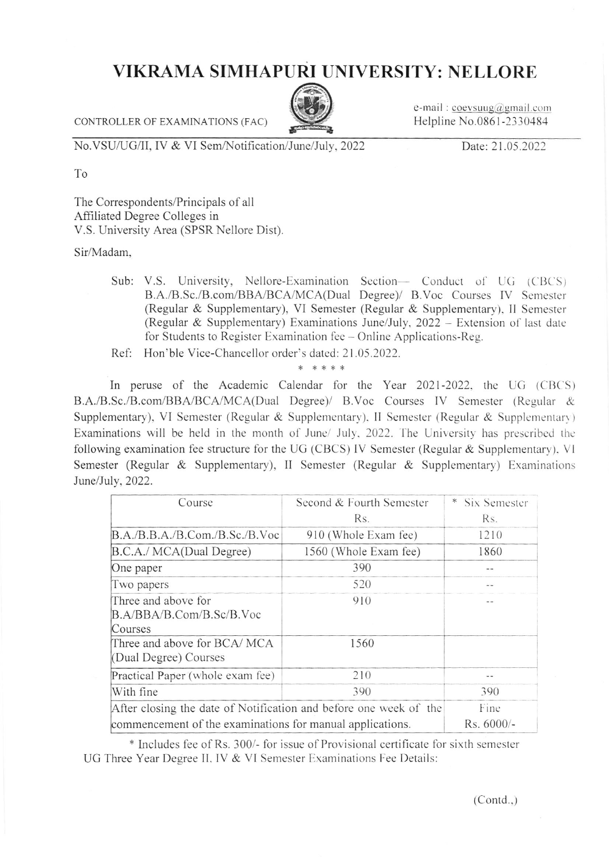## VIKRAMA SIMHAPURI UNIVERSITY: NELLORE

CONTROLLER OF EXAMINATIONS (FAC)



e-mail: coevsuug@gmail.com Helpline No.0861-2330484

No.VSU/UG/II, IV & VI Sem/Notification/June/July. 2022

Date: 21.05.2022

To

The Correspondents/Principals of all Affiliated Degree Colleges in V.S. University Area (SPSR Nellore Dist).

Sir/Madam,

- Sub: V.S. University, Nellore-Examination Section- Conduct of UG (CBCS) B.A./B.Sc./B.com/BBA/BCA/MCA(Dual Degree)/ B.Voc Courses IV Semester (Regular & Supplementary), VI Semester (Regular & Supplementary), II Semester (Regular & Supplementary) Examinations June/July, 2022 - Extension of last date for Students to Register Examination fee – Online Applications-Reg.
- Ref: Hon'ble Vice-Chancellor order's dated: 21.05.2022.

\* \* \* \* \*

In peruse of the Academic Calendar for the Year 2021-2022, the UG (CBCS) B.A./B.Sc./B.com/BBA/BCA/MCA(Dual Degree)/ B.Voc Courses IV Semester (Regular & Supplementary), VI Semester (Regular & Supplementary), II Semester (Regular & Supplementary) Examinations will be held in the month of June/ July, 2022. The University has prescribed the following examination fee structure for the UG (CBCS) IV Semester (Regular & Supplementary), VI Semester (Regular & Supplementary), II Semester (Regular & Supplementary) Examinations June/July, 2022.

| Course                                                            | Second & Fourth Semester | Six Semester |
|-------------------------------------------------------------------|--------------------------|--------------|
|                                                                   | Rs.                      | Rs.          |
| B.A./B.B.A./B.Com./B.Sc./B.Voc                                    | 910 (Whole Exam fee)     | 1210         |
| B.C.A./ MCA(Dual Degree)                                          | 1560 (Whole Exam fee)    | 1860         |
| One paper                                                         | 390                      | --           |
| Two papers                                                        | 520                      | --           |
| Three and above for<br>B.A/BBA/B.Com/B.Sc/B.Voc<br>Courses        | 910                      |              |
| Three and above for BCA/MCA<br>(Dual Degree) Courses              | 1560                     |              |
| Practical Paper (whole exam fee)                                  | 210                      |              |
| With fine                                                         | 390                      | 390          |
| After closing the date of Notification and before one week of the |                          | Fine         |
| commencement of the examinations for manual applications.         |                          | Rs. 6000/-   |

\* Includes fee of Rs. 300/- for issue of Provisional certificate for sixth semester UG Three Year Degree II, IV & VI Semester Examinations Fee Details:

 $(Contd.)$